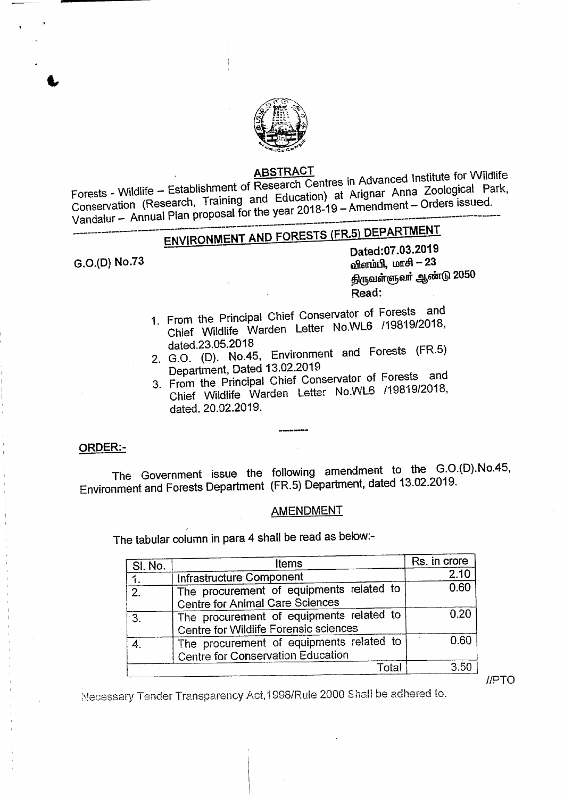

### ABSTRAC

**Fortherment of Research Centres in Advanced Institute for Wildlife Lines** Conservation (Research, Training and Education) at Arignar Anna Zoological Park, Vandalur — Annual Plan proposal for the year 2018-19 — Amendment — Orders issued.

# ------------------------------------------------------------------------------------------------------------------ ENVIRONMENT AND FORESTS (FRS) DEPARTMENT

G.O.(O) No.73

Dated:07.03.2019 விளம்பி, மாசி $- 23$ திருவள்ளுவர் ஆண்டு 2050 Read:

- 1. From the Principal Chief Conservator of Forests and Chief Wildlife Warden Letter No.WLS *119819/2018,* dated.23.05.2018
- 2. G.O. (D). No.45, Environment and Forests (FR.5) Department, Dated 13.02.2019
- 3. From the Principal Chief Conservator of Forests and Chief Wildlife Warden Letter No.WL6 *119819/2018,* dated. 20.02.2019.

### ORDER:-

. The Government issue the following amendment to the G.O.(D).No.45, Environment and Forests Department (FR.5) Department, dated 13.02.2019.

## AMENDMENT

The tabular column in para 4 shall be read as below:-

| <b>Items</b>                             | Rs. in crore                                                                                                                                                                                 |
|------------------------------------------|----------------------------------------------------------------------------------------------------------------------------------------------------------------------------------------------|
|                                          | 2.10                                                                                                                                                                                         |
| The procurement of equipments related to | 0.60                                                                                                                                                                                         |
|                                          |                                                                                                                                                                                              |
|                                          | 0.20                                                                                                                                                                                         |
|                                          |                                                                                                                                                                                              |
| The procurement of equipments related to | 0.60                                                                                                                                                                                         |
|                                          |                                                                                                                                                                                              |
| Total                                    | 3.50                                                                                                                                                                                         |
|                                          | Infrastructure Component<br><b>Centre for Animal Care Sciences</b><br>The procurement of equipments related to<br>Centre for Wildlife Forensic sciences<br>Centre for Conservation Education |

 $IIPTO$ 

Necessary Tender Transparency Act,1998/Rule 2000 Shall be adhered to.